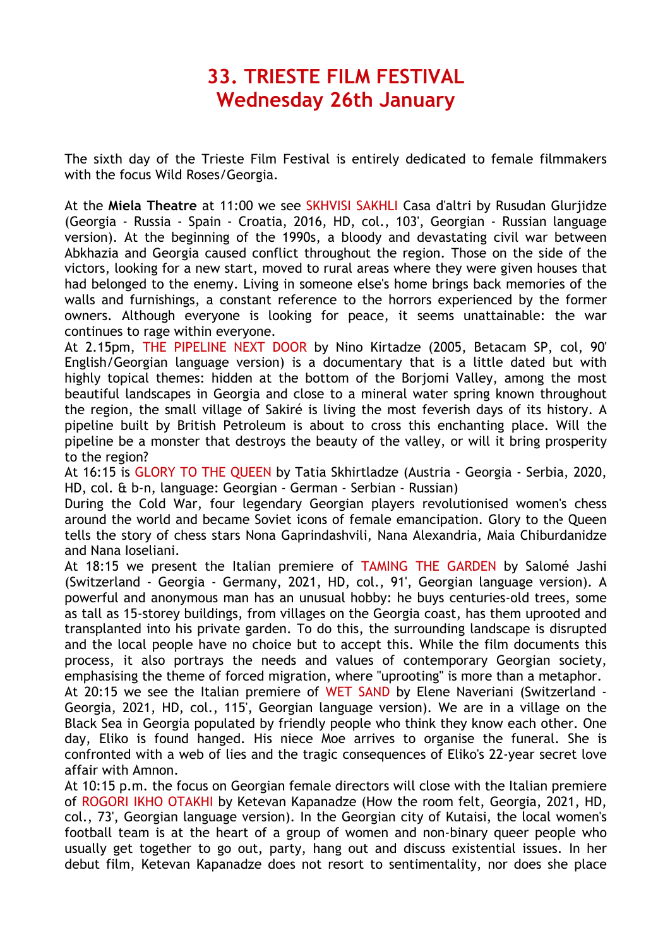## **33. TRIESTE FILM FESTIVAL Wednesday 26th January**

The sixth day of the Trieste Film Festival is entirely dedicated to female filmmakers with the focus Wild Roses/Georgia.

At the **Miela Theatre** at 11:00 we see SKHVISI SAKHLI Casa d'altri by Rusudan Glurjidze (Georgia - Russia - Spain - Croatia, 2016, HD, col., 103', Georgian - Russian language version). At the beginning of the 1990s, a bloody and devastating civil war between Abkhazia and Georgia caused conflict throughout the region. Those on the side of the victors, looking for a new start, moved to rural areas where they were given houses that had belonged to the enemy. Living in someone else's home brings back memories of the walls and furnishings, a constant reference to the horrors experienced by the former owners. Although everyone is looking for peace, it seems unattainable: the war continues to rage within everyone.

At 2.15pm, THE PIPELINE NEXT DOOR by Nino Kirtadze (2005, Betacam SP, col, 90' English/Georgian language version) is a documentary that is a little dated but with highly topical themes: hidden at the bottom of the Borjomi Valley, among the most beautiful landscapes in Georgia and close to a mineral water spring known throughout the region, the small village of Sakiré is living the most feverish days of its history. A pipeline built by British Petroleum is about to cross this enchanting place. Will the pipeline be a monster that destroys the beauty of the valley, or will it bring prosperity to the region?

At 16:15 is GLORY TO THE QUEEN by Tatia Skhirtladze (Austria - Georgia - Serbia, 2020, HD, col. & b-n, language: Georgian - German - Serbian - Russian)

During the Cold War, four legendary Georgian players revolutionised women's chess around the world and became Soviet icons of female emancipation. Glory to the Queen tells the story of chess stars Nona Gaprindashvili, Nana Alexandria, Maia Chiburdanidze and Nana Ioseliani.

At 18:15 we present the Italian premiere of TAMING THE GARDEN by Salomé Jashi (Switzerland - Georgia - Germany, 2021, HD, col., 91', Georgian language version). A powerful and anonymous man has an unusual hobby: he buys centuries-old trees, some as tall as 15-storey buildings, from villages on the Georgia coast, has them uprooted and transplanted into his private garden. To do this, the surrounding landscape is disrupted and the local people have no choice but to accept this. While the film documents this process, it also portrays the needs and values of contemporary Georgian society, emphasising the theme of forced migration, where "uprooting" is more than a metaphor.

At 20:15 we see the Italian premiere of WET SAND by Elene Naveriani (Switzerland - Georgia, 2021, HD, col., 115', Georgian language version). We are in a village on the Black Sea in Georgia populated by friendly people who think they know each other. One day, Eliko is found hanged. His niece Moe arrives to organise the funeral. She is confronted with a web of lies and the tragic consequences of Eliko's 22-year secret love affair with Amnon.

At 10:15 p.m. the focus on Georgian female directors will close with the Italian premiere of ROGORI IKHO OTAKHI by Ketevan Kapanadze (How the room felt, Georgia, 2021, HD, col., 73', Georgian language version). In the Georgian city of Kutaisi, the local women's football team is at the heart of a group of women and non-binary queer people who usually get together to go out, party, hang out and discuss existential issues. In her debut film, Ketevan Kapanadze does not resort to sentimentality, nor does she place